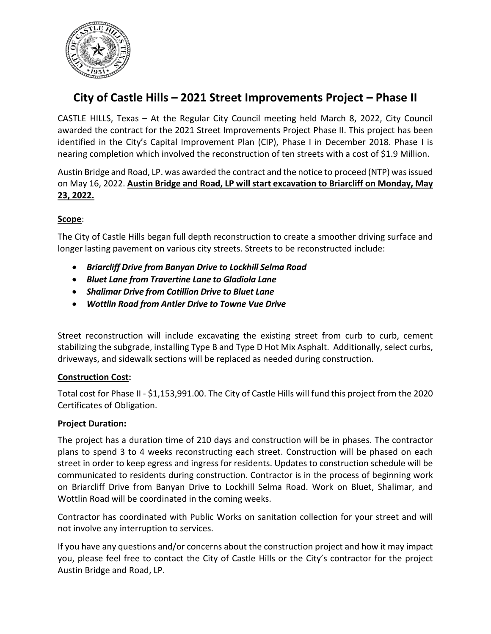

# **City of Castle Hills – 2021 Street Improvements Project – Phase II**

CASTLE HILLS, Texas – At the Regular City Council meeting held March 8, 2022, City Council awarded the contract for the 2021 Street Improvements Project Phase II. This project has been identified in the City's Capital Improvement Plan (CIP), Phase I in December 2018. Phase I is nearing completion which involved the reconstruction of ten streets with a cost of \$1.9 Million.

Austin Bridge and Road, LP. was awarded the contract and the notice to proceed (NTP) wasissued on May 16, 2022. **Austin Bridge and Road, LP will start excavation to Briarcliff on Monday, May 23, 2022.**

### **Scope**:

The City of Castle Hills began full depth reconstruction to create a smoother driving surface and longer lasting pavement on various city streets. Streets to be reconstructed include:

- *Briarcliff Drive from Banyan Drive to Lockhill Selma Road*
- *Bluet Lane from Travertine Lane to Gladiola Lane*
- *Shalimar Drive from Cotillion Drive to Bluet Lane*
- *Wottlin Road from Antler Drive to Towne Vue Drive*

Street reconstruction will include excavating the existing street from curb to curb, cement stabilizing the subgrade, installing Type B and Type D Hot Mix Asphalt. Additionally, select curbs, driveways, and sidewalk sections will be replaced as needed during construction.

### **Construction Cost:**

Total cost for Phase II - \$1,153,991.00. The City of Castle Hills will fund this project from the 2020 Certificates of Obligation.

### **Project Duration:**

The project has a duration time of 210 days and construction will be in phases. The contractor plans to spend 3 to 4 weeks reconstructing each street. Construction will be phased on each street in order to keep egress and ingress for residents. Updates to construction schedule will be communicated to residents during construction. Contractor is in the process of beginning work on Briarcliff Drive from Banyan Drive to Lockhill Selma Road. Work on Bluet, Shalimar, and Wottlin Road will be coordinated in the coming weeks.

Contractor has coordinated with Public Works on sanitation collection for your street and will not involve any interruption to services.

If you have any questions and/or concerns about the construction project and how it may impact you, please feel free to contact the City of Castle Hills or the City's contractor for the project Austin Bridge and Road, LP.